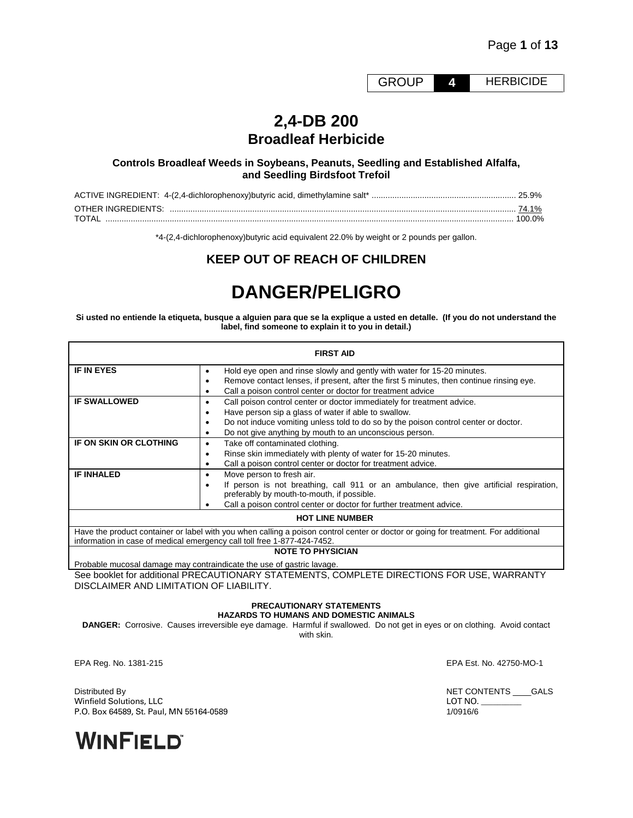GROUP **4** HERBICIDE

# **2,4-DB 200 Broadleaf Herbicide**

# **Controls Broadleaf Weeds in Soybeans, Peanuts, Seedling and Established Alfalfa, and Seedling Birdsfoot Trefoil**

|       | 74.1%  |
|-------|--------|
| TOTAI | 100.0% |

\*4-(2,4-dichlorophenoxy)butyric acid equivalent 22.0% by weight or 2 pounds per gallon.

# **KEEP OUT OF REACH OF CHILDREN**

# **DANGER/PELIGRO**

**Si usted no entiende la etiqueta, busque a alguien para que se la explique a usted en detalle. (If you do not understand the label, find someone to explain it to you in detail.)**

| <b>FIRST AID</b>       |                                                                                                                                                                          |  |  |  |
|------------------------|--------------------------------------------------------------------------------------------------------------------------------------------------------------------------|--|--|--|
| <b>IF IN EYES</b>      | Hold eye open and rinse slowly and gently with water for 15-20 minutes.<br>٠<br>Remove contact lenses, if present, after the first 5 minutes, then continue rinsing eye. |  |  |  |
|                        | Call a poison control center or doctor for treatment advice                                                                                                              |  |  |  |
| <b>IF SWALLOWED</b>    | Call poison control center or doctor immediately for treatment advice.                                                                                                   |  |  |  |
|                        | Have person sip a glass of water if able to swallow.                                                                                                                     |  |  |  |
|                        | Do not induce vomiting unless told to do so by the poison control center or doctor.                                                                                      |  |  |  |
|                        | Do not give anything by mouth to an unconscious person.                                                                                                                  |  |  |  |
| IF ON SKIN OR CLOTHING | Take off contaminated clothing.                                                                                                                                          |  |  |  |
|                        | Rinse skin immediately with plenty of water for 15-20 minutes.                                                                                                           |  |  |  |
|                        | Call a poison control center or doctor for treatment advice.                                                                                                             |  |  |  |
| <b>IF INHALED</b>      | Move person to fresh air.                                                                                                                                                |  |  |  |
|                        | If person is not breathing, call 911 or an ambulance, then give artificial respiration,<br>preferably by mouth-to-mouth, if possible.                                    |  |  |  |
|                        | Call a poison control center or doctor for further treatment advice.                                                                                                     |  |  |  |
| <b>HOT LINE NUMBER</b> |                                                                                                                                                                          |  |  |  |

Have the product container or label with you when calling a poison control center or doctor or going for treatment. For additional information in case of medical emergency call toll free 1-877-424-7452.

# **NOTE TO PHYSICIAN**

Probable mucosal damage may contraindicate the use of gastric lavage.

See booklet for additional PRECAUTIONARY STATEMENTS, COMPLETE DIRECTIONS FOR USE, WARRANTY DISCLAIMER AND LIMITATION OF LIABILITY.

# **PRECAUTIONARY STATEMENTS**

**HAZARDS TO HUMANS AND DOMESTIC ANIMALS**

**DANGER:** Corrosive. Causes irreversible eye damage. Harmful if swallowed. Do not get in eyes or on clothing. Avoid contact with skin.

EPA Reg. No. 1381-215 EPA Est. No. 42750-MO-1

Distributed By **NET CONTENTS** \_\_\_\_GALS<br>
Winfield Solutions. LLC Winfield Solutions, LLC P.O. Box 64589, St. Paul, MN 55164-0589 1/0916/6

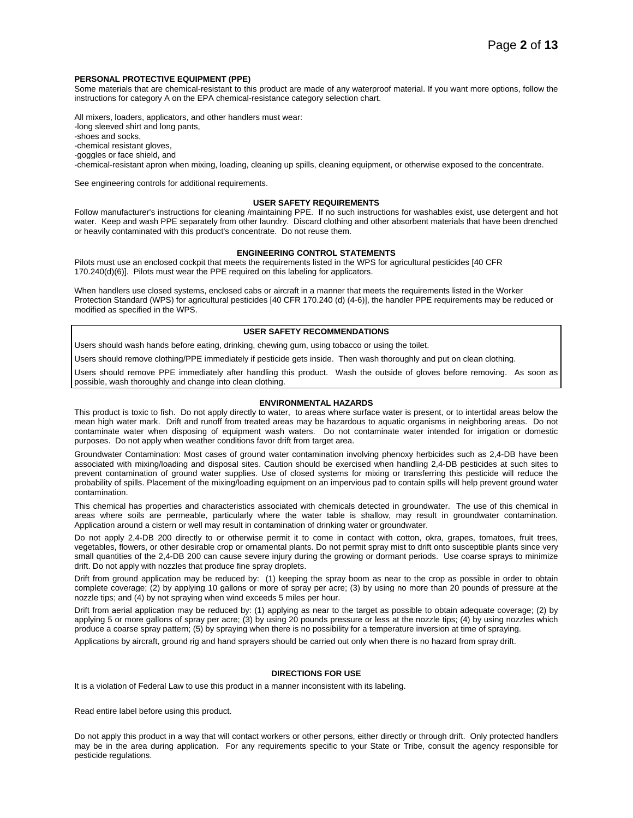#### **PERSONAL PROTECTIVE EQUIPMENT (PPE)**

Some materials that are chemical-resistant to this product are made of any waterproof material. If you want more options, follow the instructions for category A on the EPA chemical-resistance category selection chart.

All mixers, loaders, applicators, and other handlers must wear: -long sleeved shirt and long pants,

-shoes and socks,

-chemical resistant gloves,

-goggles or face shield, and

-chemical-resistant apron when mixing, loading, cleaning up spills, cleaning equipment, or otherwise exposed to the concentrate.

See engineering controls for additional requirements.

# **USER SAFETY REQUIREMENTS**

Follow manufacturer's instructions for cleaning /maintaining PPE. If no such instructions for washables exist, use detergent and hot water. Keep and wash PPE separately from other laundry. Discard clothing and other absorbent materials that have been drenched or heavily contaminated with this product's concentrate. Do not reuse them.

## **ENGINEERING CONTROL STATEMENTS**

Pilots must use an enclosed cockpit that meets the requirements listed in the WPS for agricultural pesticides [40 CFR 170.240(d)(6)]. Pilots must wear the PPE required on this labeling for applicators.

When handlers use closed systems, enclosed cabs or aircraft in a manner that meets the requirements listed in the Worker Protection Standard (WPS) for agricultural pesticides [40 CFR 170.240 (d) (4-6)], the handler PPE requirements may be reduced or modified as specified in the WPS.

## **USER SAFETY RECOMMENDATIONS**

Users should wash hands before eating, drinking, chewing gum, using tobacco or using the toilet.

Users should remove clothing/PPE immediately if pesticide gets inside. Then wash thoroughly and put on clean clothing.

Users should remove PPE immediately after handling this product. Wash the outside of gloves before removing. As soon as possible, wash thoroughly and change into clean clothing.

#### **ENVIRONMENTAL HAZARDS**

This product is toxic to fish. Do not apply directly to water, to areas where surface water is present, or to intertidal areas below the mean high water mark. Drift and runoff from treated areas may be hazardous to aquatic organisms in neighboring areas. Do not contaminate water when disposing of equipment wash waters. Do not contaminate water intended for irrigation or domestic purposes. Do not apply when weather conditions favor drift from target area.

Groundwater Contamination: Most cases of ground water contamination involving phenoxy herbicides such as 2,4-DB have been associated with mixing/loading and disposal sites. Caution should be exercised when handling 2,4-DB pesticides at such sites to prevent contamination of ground water supplies. Use of closed systems for mixing or transferring this pesticide will reduce the probability of spills. Placement of the mixing/loading equipment on an impervious pad to contain spills will help prevent ground water contamination.

This chemical has properties and characteristics associated with chemicals detected in groundwater. The use of this chemical in areas where soils are permeable, particularly where the water table is shallow, may result in groundwater contamination. Application around a cistern or well may result in contamination of drinking water or groundwater.

Do not apply 2,4-DB 200 directly to or otherwise permit it to come in contact with cotton, okra, grapes, tomatoes, fruit trees, vegetables, flowers, or other desirable crop or ornamental plants. Do not permit spray mist to drift onto susceptible plants since very small quantities of the 2,4-DB 200 can cause severe injury during the growing or dormant periods. Use coarse sprays to minimize drift. Do not apply with nozzles that produce fine spray droplets.

Drift from ground application may be reduced by: (1) keeping the spray boom as near to the crop as possible in order to obtain complete coverage; (2) by applying 10 gallons or more of spray per acre; (3) by using no more than 20 pounds of pressure at the nozzle tips; and (4) by not spraying when wind exceeds 5 miles per hour.

Drift from aerial application may be reduced by: (1) applying as near to the target as possible to obtain adequate coverage; (2) by applying 5 or more gallons of spray per acre; (3) by using 20 pounds pressure or less at the nozzle tips; (4) by using nozzles which produce a coarse spray pattern; (5) by spraying when there is no possibility for a temperature inversion at time of spraying.

Applications by aircraft, ground rig and hand sprayers should be carried out only when there is no hazard from spray drift.

#### **DIRECTIONS FOR USE**

It is a violation of Federal Law to use this product in a manner inconsistent with its labeling.

Read entire label before using this product.

Do not apply this product in a way that will contact workers or other persons, either directly or through drift. Only protected handlers may be in the area during application. For any requirements specific to your State or Tribe, consult the agency responsible for pesticide regulations.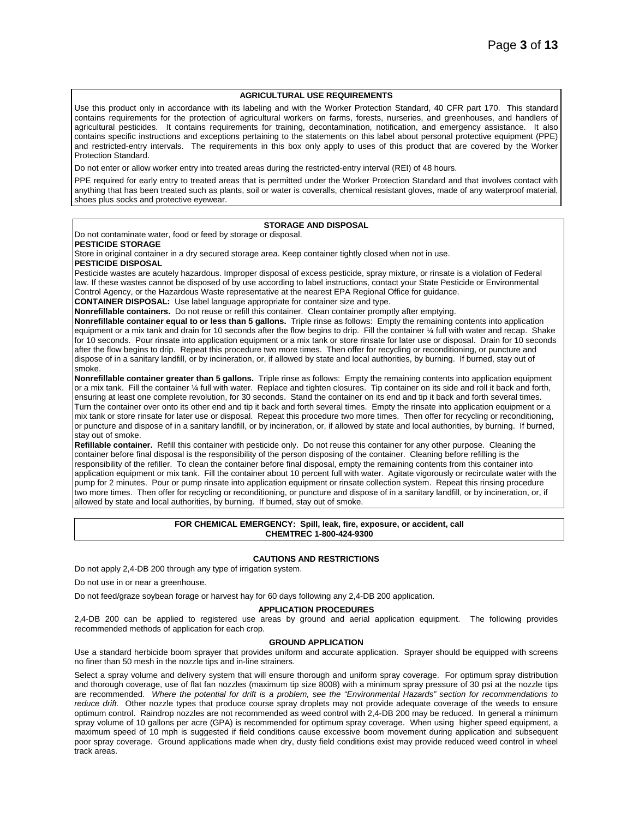## **AGRICULTURAL USE REQUIREMENTS**

Use this product only in accordance with its labeling and with the Worker Protection Standard, 40 CFR part 170. This standard contains requirements for the protection of agricultural workers on farms, forests, nurseries, and greenhouses, and handlers of agricultural pesticides. It contains requirements for training, decontamination, notification, and emergency assistance. It also contains specific instructions and exceptions pertaining to the statements on this label about personal protective equipment (PPE) and restricted-entry intervals. The requirements in this box only apply to uses of this product that are covered by the Worker Protection Standard.

Do not enter or allow worker entry into treated areas during the restricted-entry interval (REI) of 48 hours.

PPE required for early entry to treated areas that is permitted under the Worker Protection Standard and that involves contact with anything that has been treated such as plants, soil or water is coveralls, chemical resistant gloves, made of any waterproof material, shoes plus socks and protective eyewear.

# **STORAGE AND DISPOSAL**

Do not contaminate water, food or feed by storage or disposal. **PESTICIDE STORAGE**

Store in original container in a dry secured storage area. Keep container tightly closed when not in use.

#### **PESTICIDE DISPOSAL**

Pesticide wastes are acutely hazardous. Improper disposal of excess pesticide, spray mixture, or rinsate is a violation of Federal law. If these wastes cannot be disposed of by use according to label instructions, contact your State Pesticide or Environmental Control Agency, or the Hazardous Waste representative at the nearest EPA Regional Office for guidance.

**CONTAINER DISPOSAL:** Use label language appropriate for container size and type.

**Nonrefillable containers.** Do not reuse or refill this container. Clean container promptly after emptying.

**Nonrefillable container equal to or less than 5 gallons.** Triple rinse as follows: Empty the remaining contents into application equipment or a mix tank and drain for 10 seconds after the flow begins to drip. Fill the container ¼ full with water and recap. Shake for 10 seconds. Pour rinsate into application equipment or a mix tank or store rinsate for later use or disposal. Drain for 10 seconds after the flow begins to drip. Repeat this procedure two more times. Then offer for recycling or reconditioning, or puncture and dispose of in a sanitary landfill, or by incineration, or, if allowed by state and local authorities, by burning. If burned, stay out of smoke.

**Nonrefillable container greater than 5 gallons.** Triple rinse as follows: Empty the remaining contents into application equipment or a mix tank. Fill the container ¼ full with water. Replace and tighten closures. Tip container on its side and roll it back and forth, ensuring at least one complete revolution, for 30 seconds. Stand the container on its end and tip it back and forth several times. Turn the container over onto its other end and tip it back and forth several times. Empty the rinsate into application equipment or a mix tank or store rinsate for later use or disposal. Repeat this procedure two more times. Then offer for recycling or reconditioning, or puncture and dispose of in a sanitary landfill, or by incineration, or, if allowed by state and local authorities, by burning. If burned, stay out of smoke.

**Refillable container.** Refill this container with pesticide only. Do not reuse this container for any other purpose. Cleaning the container before final disposal is the responsibility of the person disposing of the container. Cleaning before refilling is the responsibility of the refiller. To clean the container before final disposal, empty the remaining contents from this container into application equipment or mix tank. Fill the container about 10 percent full with water. Agitate vigorously or recirculate water with the pump for 2 minutes. Pour or pump rinsate into application equipment or rinsate collection system. Repeat this rinsing procedure two more times. Then offer for recycling or reconditioning, or puncture and dispose of in a sanitary landfill, or by incineration, or, if allowed by state and local authorities, by burning. If burned, stay out of smoke.

#### **FOR CHEMICAL EMERGENCY: Spill, leak, fire, exposure, or accident, call CHEMTREC 1-800-424-9300**

## **CAUTIONS AND RESTRICTIONS**

Do not apply 2,4-DB 200 through any type of irrigation system.

Do not use in or near a greenhouse.

Do not feed/graze soybean forage or harvest hay for 60 days following any 2,4-DB 200 application.

#### **APPLICATION PROCEDURES**

2,4-DB 200 can be applied to registered use areas by ground and aerial application equipment. The following provides recommended methods of application for each crop.

#### **GROUND APPLICATION**

Use a standard herbicide boom sprayer that provides uniform and accurate application. Sprayer should be equipped with screens no finer than 50 mesh in the nozzle tips and in-line strainers.

Select a spray volume and delivery system that will ensure thorough and uniform spray coverage. For optimum spray distribution and thorough coverage, use of flat fan nozzles (maximum tip size 8008) with a minimum spray pressure of 30 psi at the nozzle tips are recommended. *Where the potential for drift is a problem, see the "Environmental Hazards" section for recommendations to reduce drift.* Other nozzle types that produce course spray droplets may not provide adequate coverage of the weeds to ensure optimum control. Raindrop nozzles are not recommended as weed control with 2,4-DB 200 may be reduced. In general a minimum spray volume of 10 gallons per acre (GPA) is recommended for optimum spray coverage. When using higher speed equipment, a maximum speed of 10 mph is suggested if field conditions cause excessive boom movement during application and subsequent poor spray coverage. Ground applications made when dry, dusty field conditions exist may provide reduced weed control in wheel track areas.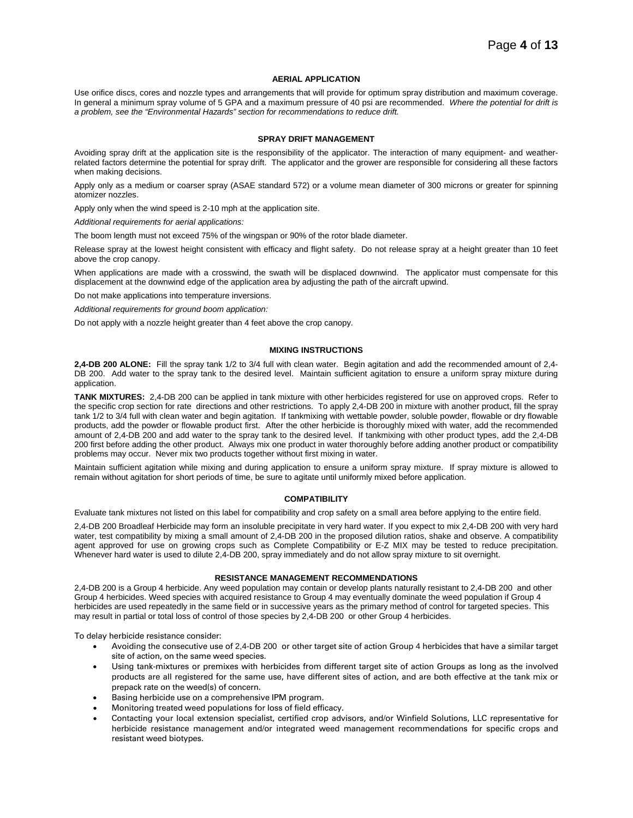#### **AERIAL APPLICATION**

Use orifice discs, cores and nozzle types and arrangements that will provide for optimum spray distribution and maximum coverage. In general a minimum spray volume of 5 GPA and a maximum pressure of 40 psi are recommended. *Where the potential for drift is a problem, see the "Environmental Hazards" section for recommendations to reduce drift.*

#### **SPRAY DRIFT MANAGEMENT**

Avoiding spray drift at the application site is the responsibility of the applicator. The interaction of many equipment- and weatherrelated factors determine the potential for spray drift. The applicator and the grower are responsible for considering all these factors when making decisions.

Apply only as a medium or coarser spray (ASAE standard 572) or a volume mean diameter of 300 microns or greater for spinning atomizer nozzles.

Apply only when the wind speed is 2-10 mph at the application site.

*Additional requirements for aerial applications:*

The boom length must not exceed 75% of the wingspan or 90% of the rotor blade diameter.

Release spray at the lowest height consistent with efficacy and flight safety. Do not release spray at a height greater than 10 feet above the crop canopy.

When applications are made with a crosswind, the swath will be displaced downwind. The applicator must compensate for this displacement at the downwind edge of the application area by adjusting the path of the aircraft upwind.

Do not make applications into temperature inversions.

*Additional requirements for ground boom application:*

Do not apply with a nozzle height greater than 4 feet above the crop canopy.

#### **MIXING INSTRUCTIONS**

**2,4-DB 200 ALONE:** Fill the spray tank 1/2 to 3/4 full with clean water. Begin agitation and add the recommended amount of 2,4- DB 200. Add water to the spray tank to the desired level. Maintain sufficient agitation to ensure a uniform spray mixture during application.

**TANK MIXTURES:** 2,4-DB 200 can be applied in tank mixture with other herbicides registered for use on approved crops. Refer to the specific crop section for rate directions and other restrictions. To apply 2,4-DB 200 in mixture with another product, fill the spray tank 1/2 to 3/4 full with clean water and begin agitation. If tankmixing with wettable powder, soluble powder, flowable or dry flowable products, add the powder or flowable product first. After the other herbicide is thoroughly mixed with water, add the recommended amount of 2,4-DB 200 and add water to the spray tank to the desired level. If tankmixing with other product types, add the 2,4-DB 200 first before adding the other product. Always mix one product in water thoroughly before adding another product or compatibility problems may occur. Never mix two products together without first mixing in water.

Maintain sufficient agitation while mixing and during application to ensure a uniform spray mixture. If spray mixture is allowed to remain without agitation for short periods of time, be sure to agitate until uniformly mixed before application.

#### **COMPATIBILITY**

Evaluate tank mixtures not listed on this label for compatibility and crop safety on a small area before applying to the entire field.

2,4-DB 200 Broadleaf Herbicide may form an insoluble precipitate in very hard water. If you expect to mix 2,4-DB 200 with very hard water, test compatibility by mixing a small amount of 2,4-DB 200 in the proposed dilution ratios, shake and observe. A compatibility agent approved for use on growing crops such as Complete Compatibility or E-Z MIX may be tested to reduce precipitation. Whenever hard water is used to dilute 2,4-DB 200, spray immediately and do not allow spray mixture to sit overnight.

## **RESISTANCE MANAGEMENT RECOMMENDATIONS**

2,4-DB 200 is a Group 4 herbicide. Any weed population may contain or develop plants naturally resistant to 2,4-DB 200 and other Group 4 herbicides. Weed species with acquired resistance to Group 4 may eventually dominate the weed population if Group 4 herbicides are used repeatedly in the same field or in successive years as the primary method of control for targeted species. This may result in partial or total loss of control of those species by 2,4-DB 200 or other Group 4 herbicides.

To delay herbicide resistance consider:

- Avoiding the consecutive use of 2,4-DB 200 or other target site of action Group 4 herbicides that have a similar target site of action, on the same weed species.
- Using tank-mixtures or premixes with herbicides from different target site of action Groups as long as the involved products are all registered for the same use, have different sites of action, and are both effective at the tank mix or prepack rate on the weed(s) of concern.
- Basing herbicide use on a comprehensive IPM program.
- Monitoring treated weed populations for loss of field efficacy.
- Contacting your local extension specialist, certified crop advisors, and/or Winfield Solutions, LLC representative for herbicide resistance management and/or integrated weed management recommendations for specific crops and resistant weed biotypes.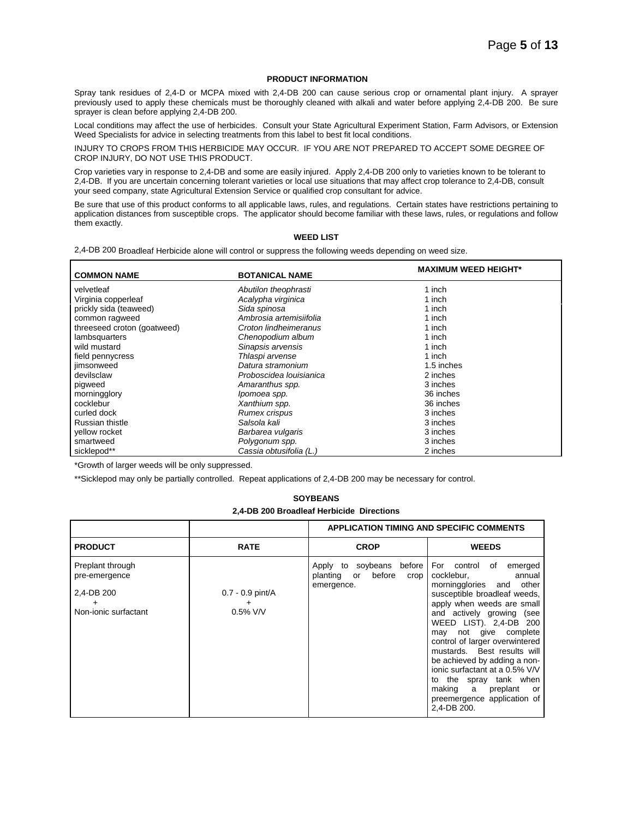## **PRODUCT INFORMATION**

Spray tank residues of 2,4-D or MCPA mixed with 2,4-DB 200 can cause serious crop or ornamental plant injury. A sprayer previously used to apply these chemicals must be thoroughly cleaned with alkali and water before applying 2,4-DB 200. Be sure sprayer is clean before applying 2,4-DB 200.

Local conditions may affect the use of herbicides. Consult your State Agricultural Experiment Station, Farm Advisors, or Extension Weed Specialists for advice in selecting treatments from this label to best fit local conditions.

INJURY TO CROPS FROM THIS HERBICIDE MAY OCCUR. IF YOU ARE NOT PREPARED TO ACCEPT SOME DEGREE OF CROP INJURY, DO NOT USE THIS PRODUCT.

Crop varieties vary in response to 2,4-DB and some are easily injured. Apply 2,4-DB 200 only to varieties known to be tolerant to 2,4-DB. If you are uncertain concerning tolerant varieties or local use situations that may affect crop tolerance to 2,4-DB, consult your seed company, state Agricultural Extension Service or qualified crop consultant for advice.

Be sure that use of this product conforms to all applicable laws, rules, and regulations. Certain states have restrictions pertaining to application distances from susceptible crops. The applicator should become familiar with these laws, rules, or regulations and follow them exactly.

# **WEED LIST**

2,4-DB 200 Broadleaf Herbicide alone will control or suppress the following weeds depending on weed size.

| <b>COMMON NAME</b>          | <b>BOTANICAL NAME</b>   | <b>MAXIMUM WEED HEIGHT*</b> |
|-----------------------------|-------------------------|-----------------------------|
| velvetleaf                  | Abutilon theophrasti    | 1 inch                      |
| Virginia copperleaf         | Acalypha virginica      | 1 inch                      |
| prickly sida (teaweed)      | Sida spinosa            | 1 inch                      |
| common ragweed              | Ambrosia artemisiifolia | 1 inch                      |
| threeseed croton (goatweed) | Croton lindheimeranus   | 1 inch                      |
| lambsquarters               | Chenopodium album       | 1 inch                      |
| wild mustard                | Sinapsis arvensis       | 1 inch                      |
| field pennycress            | Thlaspi arvense         | 1 inch                      |
| jimsonweed                  | Datura stramonium       | 1.5 inches                  |
| devilsclaw                  | Proboscidea Iouisianica | 2 inches                    |
| pigweed                     | Amaranthus spp.         | 3 inches                    |
| morningglory                | Ipomoea spp.            | 36 inches                   |
| cocklebur                   | Xanthium spp.           | 36 inches                   |
| curled dock                 | <b>Rumex crispus</b>    | 3 inches                    |
| Russian thistle             | Salsola kali            | 3 inches                    |
| yellow rocket               | Barbarea vulgaris       | 3 inches                    |
| smartweed                   | Polygonum spp.          | 3 inches                    |
| sicklepod**                 | Cassia obtusifolia (L.) | 2 inches                    |

\*Growth of larger weeds will be only suppressed.

\*\*Sicklepod may only be partially controlled. Repeat applications of 2,4-DB 200 may be necessary for control.

| <b>SOYBEANS</b>                           |  |  |
|-------------------------------------------|--|--|
| 2,4-DB 200 Broadleaf Herbicide Directions |  |  |

|                                                                         |                                        | <b>APPLICATION TIMING AND SPECIFIC COMMENTS</b>                               |                                                                                                                                                                                                                                                                                                                                                                                                                                                                                        |
|-------------------------------------------------------------------------|----------------------------------------|-------------------------------------------------------------------------------|----------------------------------------------------------------------------------------------------------------------------------------------------------------------------------------------------------------------------------------------------------------------------------------------------------------------------------------------------------------------------------------------------------------------------------------------------------------------------------------|
| <b>PRODUCT</b>                                                          | <b>RATE</b>                            | <b>CROP</b>                                                                   | <b>WEEDS</b>                                                                                                                                                                                                                                                                                                                                                                                                                                                                           |
| Preplant through<br>pre-emergence<br>2,4-DB 200<br>Non-ionic surfactant | $0.7 - 0.9$ pint/A<br>+<br>$0.5\%$ V/V | before<br>Apply to soybeans<br>before<br>planting<br>or<br>crop<br>emergence. | For control of<br>emerged<br>cocklebur,<br>annual<br>morningglories<br>other<br>and<br>susceptible broadleaf weeds,<br>apply when weeds are small<br>and actively growing<br>(see<br>WEED LIST). 2,4-DB 200<br>not give complete<br>may<br>control of larger overwintered<br>mustards. Best results will<br>be achieved by adding a non-<br>ionic surfactant at a 0.5% V/V<br>the spray tank when<br>to<br>making<br>preplant<br>a<br>or<br>preemergence application of<br>2,4-DB 200. |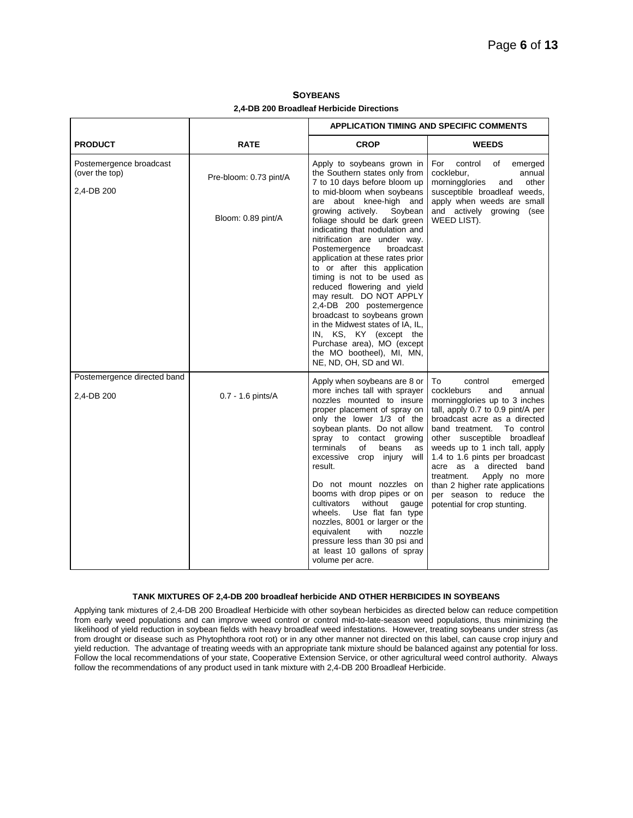|                                                         |                        | <b>APPLICATION TIMING AND SPECIFIC COMMENTS</b>                                                                                                                                                                                                                                                                                                                                                                                                                                                                                                                                          |                                                                                                                                                                                                                                                                                                                                                                                                                                                            |
|---------------------------------------------------------|------------------------|------------------------------------------------------------------------------------------------------------------------------------------------------------------------------------------------------------------------------------------------------------------------------------------------------------------------------------------------------------------------------------------------------------------------------------------------------------------------------------------------------------------------------------------------------------------------------------------|------------------------------------------------------------------------------------------------------------------------------------------------------------------------------------------------------------------------------------------------------------------------------------------------------------------------------------------------------------------------------------------------------------------------------------------------------------|
| <b>PRODUCT</b>                                          | <b>RATE</b>            | <b>CROP</b>                                                                                                                                                                                                                                                                                                                                                                                                                                                                                                                                                                              | <b>WEEDS</b>                                                                                                                                                                                                                                                                                                                                                                                                                                               |
| Postemergence broadcast<br>(over the top)<br>2,4-DB 200 | Pre-bloom: 0.73 pint/A | Apply to soybeans grown in<br>the Southern states only from<br>7 to 10 days before bloom up<br>to mid-bloom when soybeans<br>are about knee-high and                                                                                                                                                                                                                                                                                                                                                                                                                                     | For<br>control<br>of<br>emerged<br>cocklebur,<br>annual<br>morningglories<br>other<br>and<br>susceptible broadleaf weeds,<br>apply when weeds are small                                                                                                                                                                                                                                                                                                    |
|                                                         | Bloom: 0.89 pint/A     | growing actively.<br>Soybean<br>foliage should be dark green<br>indicating that nodulation and<br>nitrification are under way.<br>Postemergence<br>broadcast<br>application at these rates prior<br>to or after this application<br>timing is not to be used as<br>reduced flowering and yield<br>may result. DO NOT APPLY<br>2,4-DB 200 postemergence<br>broadcast to soybeans grown<br>in the Midwest states of IA, IL,<br>IN, KS, KY (except the<br>Purchase area), MO (except<br>the MO bootheel), MI, MN,<br>NE, ND, OH, SD and WI.                                                 | and actively growing (see<br>WEED LIST).                                                                                                                                                                                                                                                                                                                                                                                                                   |
| Postemergence directed band<br>2,4-DB 200               | 0.7 - 1.6 pints/A      | Apply when soybeans are 8 or<br>more inches tall with sprayer<br>nozzles mounted to insure<br>proper placement of spray on<br>only the lower 1/3 of the<br>soybean plants. Do not allow<br>spray to contact growing<br>of<br>terminals<br>beans<br>as<br>excessive<br>crop injury<br>will<br>result.<br>Do not mount nozzles on<br>booms with drop pipes or on<br>cultivators<br>without<br>gauge<br>Use flat fan type<br>wheels.<br>nozzles, 8001 or larger or the<br>equivalent<br>with<br>nozzle<br>pressure less than 30 psi and<br>at least 10 gallons of spray<br>volume per acre. | To<br>emerged<br>control<br>cockleburs<br>annual<br>and<br>morningglories up to 3 inches<br>tall, apply 0.7 to 0.9 pint/A per<br>broadcast acre as a directed<br>band treatment.<br>To control<br>other susceptible broadleaf<br>weeds up to 1 inch tall, apply<br>1.4 to 1.6 pints per broadcast<br>acre as a directed band<br>treatment.<br>Apply no more<br>than 2 higher rate applications<br>per season to reduce the<br>potential for crop stunting. |

**SOYBEANS 2,4-DB 200 Broadleaf Herbicide Directions**

# **TANK MIXTURES OF 2,4-DB 200 broadleaf herbicide AND OTHER HERBICIDES IN SOYBEANS**

Applying tank mixtures of 2,4-DB 200 Broadleaf Herbicide with other soybean herbicides as directed below can reduce competition from early weed populations and can improve weed control or control mid-to-late-season weed populations, thus minimizing the likelihood of yield reduction in soybean fields with heavy broadleaf weed infestations. However, treating soybeans under stress (as from drought or disease such as Phytophthora root rot) or in any other manner not directed on this label, can cause crop injury and yield reduction. The advantage of treating weeds with an appropriate tank mixture should be balanced against any potential for loss. Follow the local recommendations of your state, Cooperative Extension Service, or other agricultural weed control authority. Always follow the recommendations of any product used in tank mixture with 2,4-DB 200 Broadleaf Herbicide.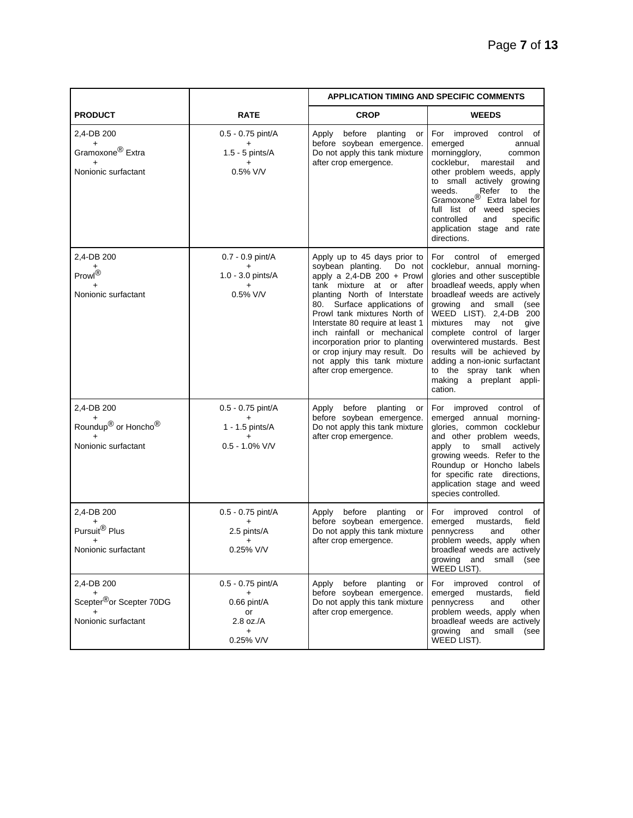|                                                                                        |                                                                                | <b>APPLICATION TIMING AND SPECIFIC COMMENTS</b>                                                                                                                                                                                                                                                                                                                                                                        |                                                                                                                                                                                                                                                                                                                                                                                                                                             |
|----------------------------------------------------------------------------------------|--------------------------------------------------------------------------------|------------------------------------------------------------------------------------------------------------------------------------------------------------------------------------------------------------------------------------------------------------------------------------------------------------------------------------------------------------------------------------------------------------------------|---------------------------------------------------------------------------------------------------------------------------------------------------------------------------------------------------------------------------------------------------------------------------------------------------------------------------------------------------------------------------------------------------------------------------------------------|
| <b>PRODUCT</b>                                                                         | <b>RATE</b>                                                                    | <b>CROP</b>                                                                                                                                                                                                                                                                                                                                                                                                            | <b>WEEDS</b>                                                                                                                                                                                                                                                                                                                                                                                                                                |
| 2,4-DB 200<br>$\ddot{}$<br>Gramoxone <sup>®</sup> Extra<br>$+$<br>Nonionic surfactant  | 0.5 - 0.75 pint/A<br>1.5 - 5 pints/A<br>0.5% V/V                               | Apply<br>before planting<br>or<br>before soybean emergence.<br>Do not apply this tank mixture<br>after crop emergence.                                                                                                                                                                                                                                                                                                 | For improved control of<br>emerged<br>annual<br>morningglory,<br>common<br>cocklebur,<br>marestail<br>and<br>other problem weeds, apply<br>to small actively growing<br>Refer<br>weeds.<br>to the<br>Gramoxone <sup>®</sup> Extra label for<br>full list of weed species<br>controlled<br>and<br>specific<br>application stage and rate<br>directions.                                                                                      |
| 2,4-DB 200<br>Prowl <sup>®</sup><br>Nonionic surfactant                                | 0.7 - 0.9 pint/A<br>+<br>1.0 - 3.0 pints/A<br>÷<br>0.5% V/V                    | Apply up to 45 days prior to<br>soybean planting.<br>Do not<br>apply a $2,4$ -DB 200 + Prowl<br>tank mixture at or after<br>planting North of Interstate<br>80. Surface applications of<br>Prowl tank mixtures North of<br>Interstate 80 require at least 1<br>inch rainfall or mechanical<br>incorporation prior to planting<br>or crop injury may result. Do<br>not apply this tank mixture<br>after crop emergence. | For control of emerged<br>cocklebur, annual morning-<br>glories and other susceptible<br>broadleaf weeds, apply when<br>broadleaf weeds are actively<br>growing and small<br>(see<br>WEED LIST). 2,4-DB 200<br>mixtures<br>may<br>give<br>not<br>complete control of larger<br>overwintered mustards. Best<br>results will be achieved by<br>adding a non-ionic surfactant<br>to the spray tank when<br>making a preplant appli-<br>cation. |
| 2,4-DB 200<br>Roundup <sup>®</sup> or Honcho <sup>®</sup><br>Nonionic surfactant       | 0.5 - 0.75 pint/A<br>+<br>1 - 1.5 pints/A<br>$+$<br>$0.5 - 1.0\%$ V/V          | Apply before planting<br>or<br>before soybean emergence.<br>Do not apply this tank mixture<br>after crop emergence.                                                                                                                                                                                                                                                                                                    | For improved control of<br>emerged annual morning-<br>glories, common cocklebur<br>and other problem weeds,<br>apply to small<br>actively<br>growing weeds. Refer to the<br>Roundup or Honcho labels<br>for specific rate directions,<br>application stage and weed<br>species controlled.                                                                                                                                                  |
| 2.4-DB 200<br>+<br>Pursuit <sup>®</sup> Plus<br>Nonionic surfactant                    | 0.5 - 0.75 pint/A<br>+<br>2.5 pints/A<br>$\ddot{}$<br>0.25% V/V                | before planting<br>Apply<br>or<br>before soybean emergence.<br>Do not apply this tank mixture<br>after crop emergence.                                                                                                                                                                                                                                                                                                 | For improved control<br>of<br>emerged<br>field<br>mustards,<br>pennycress<br>and<br>other<br>problem weeds, apply when<br>broadleaf weeds are actively<br>growing and small (see<br>WEED LIST).                                                                                                                                                                                                                                             |
| 2,4-DB 200<br>$\ddot{}$<br>Scepter <sup>®</sup> or Scepter 70DG<br>Nonionic surfactant | 0.5 - 0.75 pint/A<br>+<br>0.66 pint/A<br>or<br>$2.8$ oz./A<br>$+$<br>0.25% V/V | Apply before planting<br>or<br>before soybean emergence.<br>Do not apply this tank mixture<br>after crop emergence.                                                                                                                                                                                                                                                                                                    | For improved control of<br>emerged<br>mustards,<br>field<br>pennycress<br>and<br>other<br>problem weeds, apply when<br>broadleaf weeds are actively<br>growing and small<br>(see<br>WEED LIST).                                                                                                                                                                                                                                             |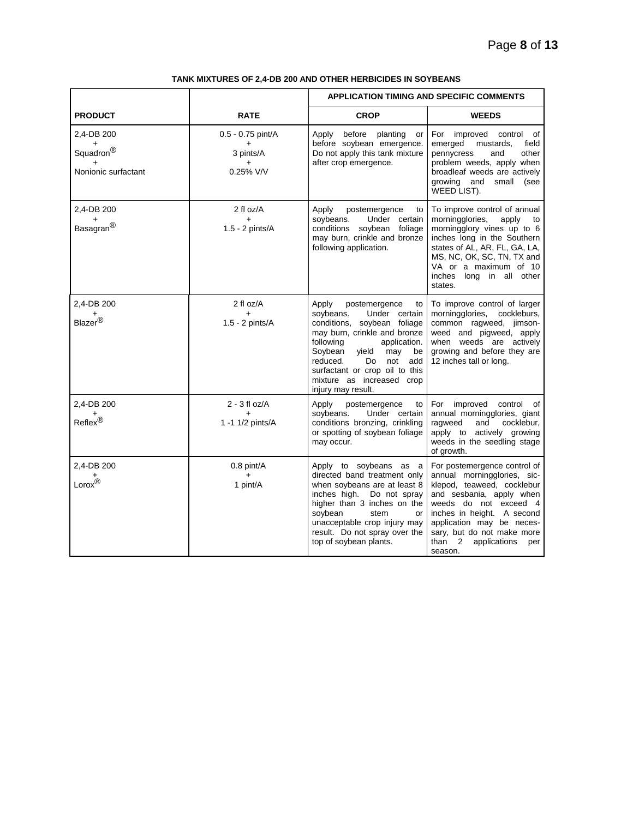|                                                              |                                                  | <b>APPLICATION TIMING AND SPECIFIC COMMENTS</b>                                                                                                                                                                                                                                                               |                                                                                                                                                                                                                                                                                  |
|--------------------------------------------------------------|--------------------------------------------------|---------------------------------------------------------------------------------------------------------------------------------------------------------------------------------------------------------------------------------------------------------------------------------------------------------------|----------------------------------------------------------------------------------------------------------------------------------------------------------------------------------------------------------------------------------------------------------------------------------|
| <b>PRODUCT</b>                                               | <b>RATE</b>                                      | <b>CROP</b>                                                                                                                                                                                                                                                                                                   | <b>WEEDS</b>                                                                                                                                                                                                                                                                     |
| 2,4-DB 200<br>Squadron $^{\circledR}$<br>Nonionic surfactant | 0.5 - 0.75 pint/A<br>3 pints/A<br>0.25% V/V      | before planting<br>Apply<br>or<br>before soybean emergence.<br>Do not apply this tank mixture<br>after crop emergence.                                                                                                                                                                                        | For improved control of<br>emerged<br>mustards,<br>field<br>pennycress<br>and<br>other<br>problem weeds, apply when<br>broadleaf weeds are actively<br>growing and small<br>(see<br>WEED LIST).                                                                                  |
| 2,4-DB 200<br>$\ddot{}$<br>Basagran <sup>®</sup>             | 2 fl oz/A<br>$\ddot{}$<br>1.5 - 2 pints/A        | Apply<br>postemergence<br>to<br>soybeans.<br>Under certain<br>conditions soybean foliage<br>may burn, crinkle and bronze<br>following application.                                                                                                                                                            | To improve control of annual<br>morningglories,<br>apply<br>to<br>morningglory vines up to 6<br>inches long in the Southern<br>states of AL, AR, FL, GA, LA,<br>MS, NC, OK, SC, TN, TX and<br>VA or a maximum of 10<br>inches long in all other<br>states.                       |
| 2,4-DB 200<br>$\mathsf{Blazer}^\circledR$                    | 2 fl oz/A<br>$+$<br>1.5 - 2 pints/A              | Apply<br>postemergence<br>to<br>soybeans.<br>Under certain<br>conditions, soybean foliage<br>may burn, crinkle and bronze<br>following<br>application.<br>Soybean<br>yield<br>may<br>be<br>reduced.<br>Do.<br>not<br>add<br>surfactant or crop oil to this<br>mixture as increased crop<br>injury may result. | To improve control of larger<br>morningglories, cockleburs,<br>common ragweed, jimson-<br>weed and pigweed, apply<br>when weeds are actively<br>growing and before they are<br>12 inches tall or long.                                                                           |
| 2,4-DB 200<br><sup>+</sup><br>Reflex <sup>®</sup>            | $2 - 3$ fl oz/A<br>$\ddot{}$<br>1 -1 1/2 pints/A | Apply<br>postemergence<br>to<br>Under certain<br>soybeans.<br>conditions bronzing, crinkling<br>or spotting of soybean foliage<br>may occur.                                                                                                                                                                  | For improved control<br>of<br>annual morningglories, giant<br>ragweed<br>and<br>cocklebur,<br>apply to actively growing<br>weeds in the seedling stage<br>of growth.                                                                                                             |
| 2,4-DB 200<br>$Lorox^{\uparrow\oplus}$                       | 0.8 pint/A<br>$+$<br>1 pint/A                    | Apply to soybeans as a<br>directed band treatment only<br>when soybeans are at least 8<br>inches high.<br>Do not spray<br>higher than 3 inches on the<br>soybean<br>stem<br>or<br>unacceptable crop injury may<br>result. Do not spray over the<br>top of soybean plants.                                     | For postemergence control of<br>annual morningglories, sic-<br>klepod, teaweed, cocklebur<br>and sesbania, apply when<br>weeds do not exceed 4<br>inches in height. A second<br>application may be neces-<br>sary, but do not make more<br>than 2 applications<br>per<br>season. |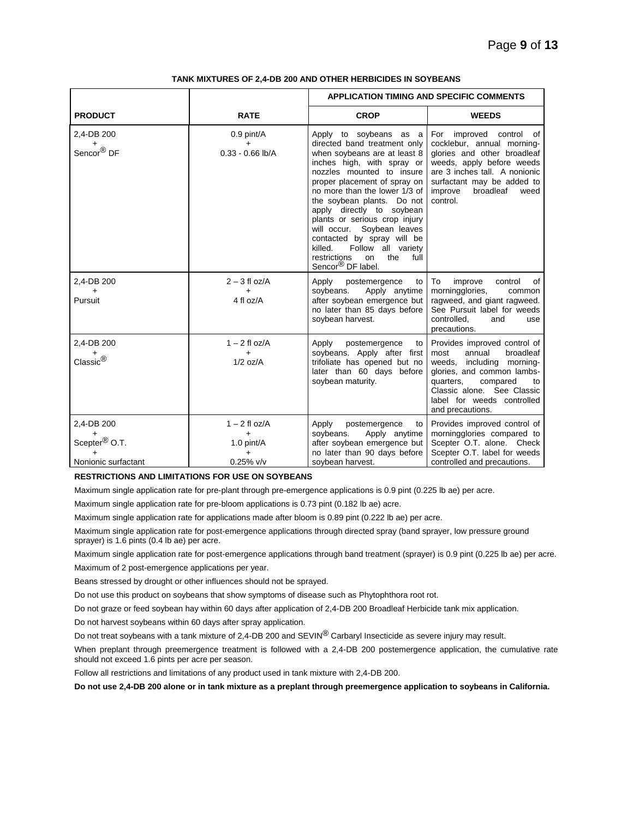|                                                                             |                                                                         | <b>APPLICATION TIMING AND SPECIFIC COMMENTS</b>                                                                                                                                                                                                                                                                                                                                                                                                                                   |                                                                                                                                                                                                                                       |
|-----------------------------------------------------------------------------|-------------------------------------------------------------------------|-----------------------------------------------------------------------------------------------------------------------------------------------------------------------------------------------------------------------------------------------------------------------------------------------------------------------------------------------------------------------------------------------------------------------------------------------------------------------------------|---------------------------------------------------------------------------------------------------------------------------------------------------------------------------------------------------------------------------------------|
| <b>PRODUCT</b>                                                              | <b>RATE</b>                                                             | <b>CROP</b>                                                                                                                                                                                                                                                                                                                                                                                                                                                                       | <b>WEEDS</b>                                                                                                                                                                                                                          |
| 2,4-DB 200<br>÷<br>Sencor <sup>®</sup> DF                                   | 0.9 pint/A<br>$\ddot{}$<br>$0.33 - 0.66$ lb/A                           | Apply to soybeans as a<br>directed band treatment only<br>when soybeans are at least 8<br>inches high, with spray or<br>nozzles mounted to insure<br>proper placement of spray on<br>no more than the lower 1/3 of<br>the soybean plants. Do not<br>apply directly to soybean<br>plants or serious crop injury<br>will occur. Soybean leaves<br>contacted by spray will be<br>killed.<br>Follow all variety<br>the<br>restrictions<br>full<br>on<br>Sencor <sup>®</sup> DF label. | For improved control of<br>cocklebur, annual morning-<br>glories and other broadleaf<br>weeds, apply before weeds<br>are 3 inches tall. A nonionic<br>surfactant may be added to<br>improve<br>broadleaf<br>weed<br>control.          |
| 2,4-DB 200<br>$\ddot{}$<br>Pursuit                                          | $2 - 3$ fl oz/A<br>$\ddot{}$<br>4 fl oz/A                               | Apply<br>postemergence<br>to<br>soybeans.<br>Apply anytime<br>after soybean emergence but<br>no later than 85 days before<br>soybean harvest.                                                                                                                                                                                                                                                                                                                                     | To<br>improve<br>control<br>οf<br>morningglories,<br>common<br>ragweed, and giant ragweed.<br>See Pursuit label for weeds<br>controlled.<br>and<br>use<br>precautions.                                                                |
| 2.4-DB 200<br>Classic®                                                      | $1 - 2$ fl oz/A<br>$\ddot{}$<br>$1/2$ oz/A                              | Apply<br>postemergence<br>to<br>soybeans. Apply after first<br>trifoliate has opened but no<br>later than 60 days before<br>soybean maturity.                                                                                                                                                                                                                                                                                                                                     | Provides improved control of<br>broadleaf<br>annual<br>most<br>weeds, including morning-<br>glories, and common lambs-<br>quarters,<br>compared<br>to<br>Classic alone. See Classic<br>label for weeds controlled<br>and precautions. |
| 2,4-DB 200<br>Scepter <sup>®</sup> O.T.<br>$\ddot{}$<br>Nonionic surfactant | $1 - 2$ fl oz/A<br>$\ddot{}$<br>1.0 pint/A<br>$\ddot{}$<br>$0.25\%$ v/v | Apply<br>postemergence<br>to<br>Apply anytime<br>soybeans.<br>after soybean emergence but<br>no later than 90 days before<br>soybean harvest.                                                                                                                                                                                                                                                                                                                                     | Provides improved control of<br>morningglories compared to<br>Scepter O.T. alone. Check<br>Scepter O.T. label for weeds<br>controlled and precautions.                                                                                |

**RESTRICTIONS AND LIMITATIONS FOR USE ON SOYBEANS**

Maximum single application rate for pre-plant through pre-emergence applications is 0.9 pint (0.225 lb ae) per acre.

Maximum single application rate for pre-bloom applications is 0.73 pint (0.182 lb ae) acre.

Maximum single application rate for applications made after bloom is 0.89 pint (0.222 lb ae) per acre.

Maximum single application rate for post-emergence applications through directed spray (band sprayer, low pressure ground sprayer) is 1.6 pints (0.4 lb ae) per acre.

Maximum single application rate for post-emergence applications through band treatment (sprayer) is 0.9 pint (0.225 lb ae) per acre.

Maximum of 2 post-emergence applications per year.

Beans stressed by drought or other influences should not be sprayed.

Do not use this product on soybeans that show symptoms of disease such as Phytophthora root rot.

Do not graze or feed soybean hay within 60 days after application of 2,4-DB 200 Broadleaf Herbicide tank mix application.

Do not harvest soybeans within 60 days after spray application.

Do not treat soybeans with a tank mixture of 2,4-DB 200 and SEVIN® Carbaryl Insecticide as severe injury may result.

When preplant through preemergence treatment is followed with a 2,4-DB 200 postemergence application, the cumulative rate should not exceed 1.6 pints per acre per season.

Follow all restrictions and limitations of any product used in tank mixture with 2,4-DB 200.

**Do not use 2,4-DB 200 alone or in tank mixture as a preplant through preemergence application to soybeans in California.**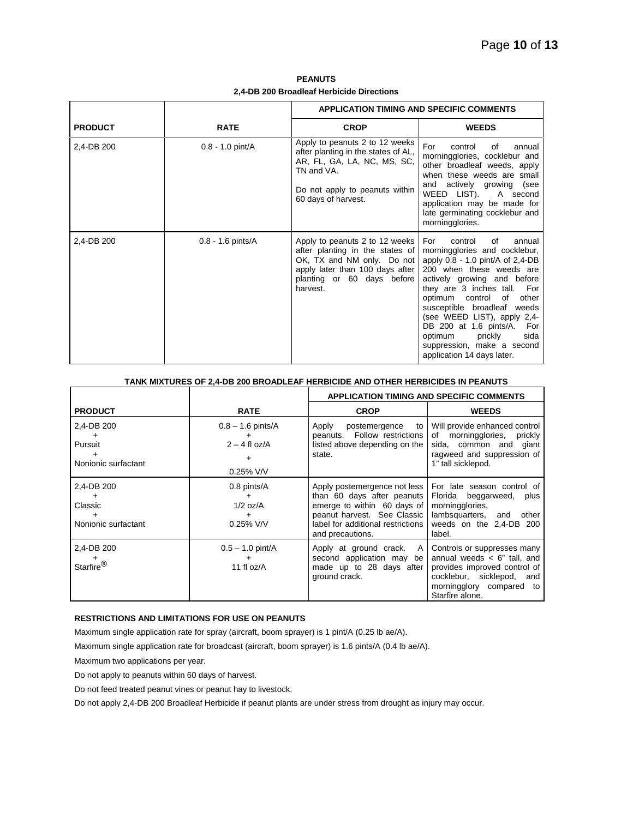**PEANUTS 2,4-DB 200 Broadleaf Herbicide Directions**

|                |                     | <b>APPLICATION TIMING AND SPECIFIC COMMENTS</b>                                                                                                                              |                                                                                                                                                                                                                                                                                                                                                                                                                         |
|----------------|---------------------|------------------------------------------------------------------------------------------------------------------------------------------------------------------------------|-------------------------------------------------------------------------------------------------------------------------------------------------------------------------------------------------------------------------------------------------------------------------------------------------------------------------------------------------------------------------------------------------------------------------|
| <b>PRODUCT</b> | <b>RATE</b>         | <b>CROP</b>                                                                                                                                                                  | <b>WEEDS</b>                                                                                                                                                                                                                                                                                                                                                                                                            |
| 2,4-DB 200     | $0.8 - 1.0$ pint/A  | Apply to peanuts 2 to 12 weeks<br>after planting in the states of AL,<br>AR, FL, GA, LA, NC, MS, SC,<br>TN and VA.<br>Do not apply to peanuts within<br>60 days of harvest.  | For<br>control<br>of<br>annual<br>morningglories, cocklebur and<br>other broadleaf weeds, apply<br>when these weeds are small<br>and actively growing (see<br>WEED LIST).<br>A second<br>application may be made for<br>late germinating cocklebur and<br>morningglories.                                                                                                                                               |
| 2,4-DB 200     | $0.8 - 1.6$ pints/A | Apply to peanuts 2 to 12 weeks<br>after planting in the states of<br>OK, TX and NM only. Do not<br>apply later than 100 days after<br>planting or 60 days before<br>harvest. | For<br>control<br>of<br>annual<br>morningglories and cocklebur,<br>apply $0.8 - 1.0$ pint/A of $2,4$ -DB<br>200 when these weeds are<br>actively growing and before<br>they are 3 inches tall. For<br>optimum control of<br>other<br>susceptible broadleaf weeds<br>(see WEED LIST), apply 2,4-<br>DB 200 at 1.6 pints/A. For<br>optimum<br>prickly<br>sida<br>suppression, make a second<br>application 14 days later. |

| TANK MIXTURES OF 2.4-DB 200 BROADLEAF HERBICIDE AND OTHER HERBICIDES IN PEANUTS |                                                             |                                                                                                                                                                                   |                                                                                                                                                                               |
|---------------------------------------------------------------------------------|-------------------------------------------------------------|-----------------------------------------------------------------------------------------------------------------------------------------------------------------------------------|-------------------------------------------------------------------------------------------------------------------------------------------------------------------------------|
|                                                                                 |                                                             | <b>APPLICATION TIMING AND SPECIFIC COMMENTS</b>                                                                                                                                   |                                                                                                                                                                               |
| <b>PRODUCT</b>                                                                  | <b>RATE</b>                                                 | <b>CROP</b>                                                                                                                                                                       | <b>WEEDS</b>                                                                                                                                                                  |
| 2,4-DB 200<br>Pursuit<br>Nonionic surfactant                                    | $0.8 - 1.6$ pints/A<br>$2 - 4$ fl oz/A<br>+<br>$0.25\%$ V/V | Apply<br>postemergence<br>to<br>peanuts. Follow restrictions<br>listed above depending on the<br>state.                                                                           | Will provide enhanced control<br>morningglories,<br>of<br>prickly<br>sida, common and giant<br>ragweed and suppression of<br>1" tall sicklepod.                               |
| 2.4-DB 200<br>Classic<br>Nonionic surfactant                                    | 0.8 pints/A<br>+<br>$1/2$ oz/A<br>$0.25\%$ V/V              | Apply postemergence not less<br>than 60 days after peanuts<br>emerge to within 60 days of<br>peanut harvest. See Classic<br>label for additional restrictions<br>and precautions. | For late season control of<br>Florida<br>beggarweed,<br>plus<br>morningglories,<br>lambsquarters, and<br>other<br>weeds on the 2,4-DB 200<br>label.                           |
| 2,4-DB 200<br>Starfire <sup>®</sup>                                             | $0.5 - 1.0$ pint/A<br>11 fl $oz/A$                          | Apply at ground crack.<br>A<br>second application may be<br>made up to 28 days after<br>ground crack.                                                                             | Controls or suppresses many<br>annual weeds $\lt$ 6" tall, and<br>provides improved control of<br>cocklebur, sicklepod,<br>and<br>morningglory compared to<br>Starfire alone. |

# **RESTRICTIONS AND LIMITATIONS FOR USE ON PEANUTS**

Maximum single application rate for spray (aircraft, boom sprayer) is 1 pint/A (0.25 lb ae/A).

Maximum single application rate for broadcast (aircraft, boom sprayer) is 1.6 pints/A (0.4 lb ae/A).

Maximum two applications per year.

Do not apply to peanuts within 60 days of harvest.

Do not feed treated peanut vines or peanut hay to livestock.

Do not apply 2,4-DB 200 Broadleaf Herbicide if peanut plants are under stress from drought as injury may occur.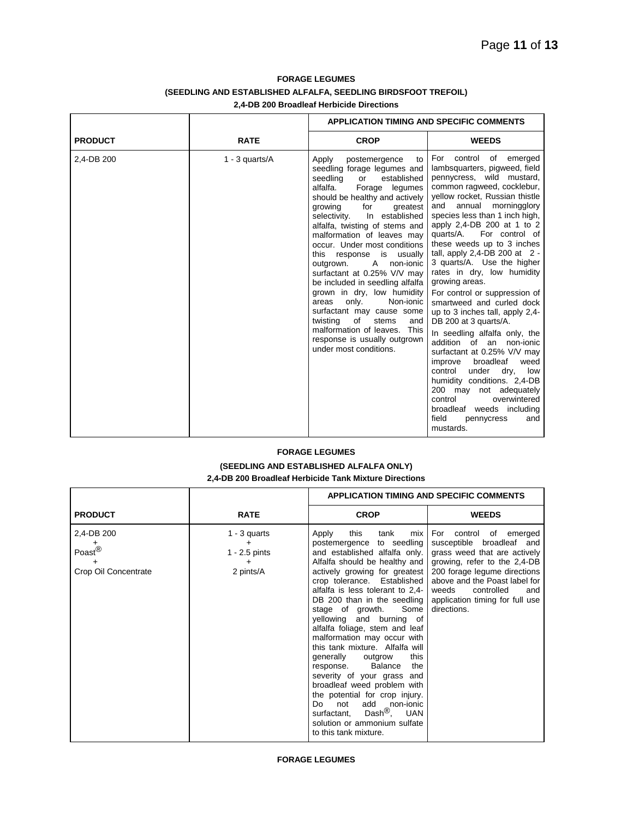# **FORAGE LEGUMES (SEEDLING AND ESTABLISHED ALFALFA, SEEDLING BIRDSFOOT TREFOIL) 2,4-DB 200 Broadleaf Herbicide Directions**

|                |                   | <b>APPLICATION TIMING AND SPECIFIC COMMENTS</b>                                                                                                                                                                                                                                                                                                                                                                                                                                                                                                                                                                                                                                            |                                                                                                                                                                                                                                                                                                                                                                                                                                                                                                                                                                                                                                                                                                                                                                                                                                                                                          |
|----------------|-------------------|--------------------------------------------------------------------------------------------------------------------------------------------------------------------------------------------------------------------------------------------------------------------------------------------------------------------------------------------------------------------------------------------------------------------------------------------------------------------------------------------------------------------------------------------------------------------------------------------------------------------------------------------------------------------------------------------|------------------------------------------------------------------------------------------------------------------------------------------------------------------------------------------------------------------------------------------------------------------------------------------------------------------------------------------------------------------------------------------------------------------------------------------------------------------------------------------------------------------------------------------------------------------------------------------------------------------------------------------------------------------------------------------------------------------------------------------------------------------------------------------------------------------------------------------------------------------------------------------|
| <b>PRODUCT</b> | <b>RATE</b>       | <b>CROP</b>                                                                                                                                                                                                                                                                                                                                                                                                                                                                                                                                                                                                                                                                                | <b>WEEDS</b>                                                                                                                                                                                                                                                                                                                                                                                                                                                                                                                                                                                                                                                                                                                                                                                                                                                                             |
| 2,4-DB 200     | 1 - 3 quarts/ $A$ | Apply<br>postemergence<br>to<br>seedling forage legumes and<br>seedling<br>established<br>or<br>alfalfa.<br>Forage legumes<br>should be healthy and actively<br>growing<br>for<br>greatest<br>In established<br>selectivity.<br>alfalfa, twisting of stems and<br>malformation of leaves may<br>occur. Under most conditions<br>this response is usually<br>$\mathsf{A}$<br>non-jonic<br>outgrown.<br>surfactant at 0.25% V/V may<br>be included in seedling alfalfa<br>grown in dry, low humidity<br>only.<br>Non-ionic<br>areas<br>surfactant may cause some<br>twisting<br>of<br>stems<br>and<br>malformation of leaves. This<br>response is usually outgrown<br>under most conditions. | For control of emerged<br>lambsquarters, pigweed, field<br>pennycress, wild mustard,<br>common ragweed, cocklebur,<br>yellow rocket, Russian thistle<br>annual morningglory<br>and<br>species less than 1 inch high,<br>apply 2,4-DB 200 at 1 to 2<br>quarts/A.<br>For control of<br>these weeds up to 3 inches<br>tall, apply $2,4$ -DB 200 at $2$ -<br>3 quarts/A. Use the higher<br>rates in dry, low humidity<br>growing areas.<br>For control or suppression of<br>smartweed and curled dock<br>up to 3 inches tall, apply 2,4-<br>DB 200 at 3 quarts/A.<br>In seedling alfalfa only, the<br>addition of an non-ionic<br>surfactant at 0.25% V/V may<br>broadleaf<br>improve<br>weed<br>under<br>dry,<br>control<br>low<br>humidity conditions. 2,4-DB<br>200 may not adequately<br>control<br>overwintered<br>broadleaf weeds including<br>field<br>and<br>pennycress<br>mustards. |

# **FORAGE LEGUMES**

# **(SEEDLING AND ESTABLISHED ALFALFA ONLY) 2,4-DB 200 Broadleaf Herbicide Tank Mixture Directions**

|                                                                 |                                                          | <b>APPLICATION TIMING AND SPECIFIC COMMENTS</b>                                                                                                                                                                                                                                                                                                                                                                                                                                                                                                                                                                                                                                                                                               |                                                                                                                                                                                                                                                                      |
|-----------------------------------------------------------------|----------------------------------------------------------|-----------------------------------------------------------------------------------------------------------------------------------------------------------------------------------------------------------------------------------------------------------------------------------------------------------------------------------------------------------------------------------------------------------------------------------------------------------------------------------------------------------------------------------------------------------------------------------------------------------------------------------------------------------------------------------------------------------------------------------------------|----------------------------------------------------------------------------------------------------------------------------------------------------------------------------------------------------------------------------------------------------------------------|
| <b>PRODUCT</b>                                                  | <b>RATE</b>                                              | <b>CROP</b>                                                                                                                                                                                                                                                                                                                                                                                                                                                                                                                                                                                                                                                                                                                                   | <b>WEEDS</b>                                                                                                                                                                                                                                                         |
| 2,4-DB 200<br>÷<br>Poast $^{\circledR}$<br>Crop Oil Concentrate | $1 - 3$ quarts<br>+<br>$1 - 2.5$ pints<br>+<br>2 pints/A | this<br>tank<br>mix<br>Apply<br>postemergence to seedling<br>and established alfalfa only.<br>Alfalfa should be healthy and<br>actively growing for greatest<br>crop tolerance. Established<br>alfalfa is less tolerant to 2,4-<br>DB 200 than in the seedling<br>Some  <br>stage of growth.<br>yellowing and burning of<br>alfalfa foliage, stem and leaf<br>malformation may occur with<br>this tank mixture. Alfalfa will<br>generally<br>this<br>outgrow<br>Balance<br>the<br>response.<br>severity of your grass and<br>broadleaf weed problem with<br>the potential for crop injury.<br>add<br>not<br>Do.<br>_ non-ionic<br>Dash $^{\circledR}$ ,<br><b>UAN</b><br>surfactant,<br>solution or ammonium sulfate<br>to this tank mixture. | For control of emerged<br>susceptible broadleaf and<br>grass weed that are actively<br>growing, refer to the 2,4-DB<br>200 forage legume directions<br>above and the Poast label for<br>controlled<br>weeds<br>and<br>application timing for full use<br>directions. |

# **FORAGE LEGUMES**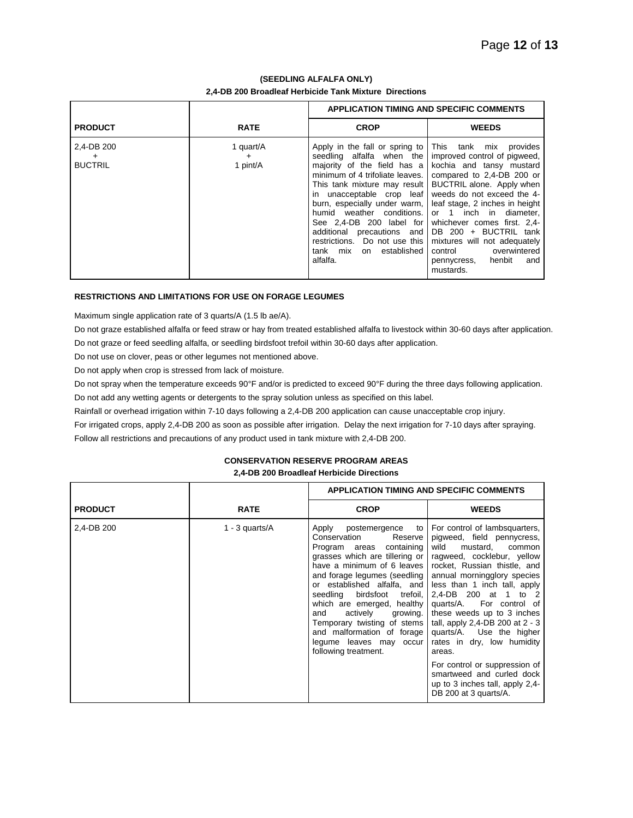# **(SEEDLING ALFALFA ONLY) 2,4-DB 200 Broadleaf Herbicide Tank Mixture Directions**

|                                           |                                    | <b>APPLICATION TIMING AND SPECIFIC COMMENTS</b>                                                                                                                                                                                                                                                           |                                                                                                                                                                                                                                                                                                                                                                                                                                                                 |
|-------------------------------------------|------------------------------------|-----------------------------------------------------------------------------------------------------------------------------------------------------------------------------------------------------------------------------------------------------------------------------------------------------------|-----------------------------------------------------------------------------------------------------------------------------------------------------------------------------------------------------------------------------------------------------------------------------------------------------------------------------------------------------------------------------------------------------------------------------------------------------------------|
| <b>PRODUCT</b>                            | <b>RATE</b>                        | <b>CROP</b>                                                                                                                                                                                                                                                                                               | <b>WEEDS</b>                                                                                                                                                                                                                                                                                                                                                                                                                                                    |
| 2,4-DB 200<br>$\ddot{}$<br><b>BUCTRIL</b> | 1 quart/A<br>$\ddot{}$<br>1 pint/A | Apply in the fall or spring to This tank mix provides<br>seedling alfalfa when the   improved control of pigweed,<br>in unacceptable crop leaf weeds do not exceed the 4-<br>See 2,4-DB 200 label for whichever comes first. 2,4-<br>restrictions. Do not use this<br>tank mix on established<br>alfalfa. | majority of the field has a kochia and tansy mustard<br>minimum of 4 trifoliate leaves.   compared to 2,4-DB 200 or<br>This tank mixture may result   BUCTRIL alone. Apply when<br>burn, especially under warm, I leaf stage, 2 inches in height<br>humid weather conditions. or 1 inch in diameter,<br>additional precautions and $DB$ 200 + BUCTRIL tank<br>mixtures will not adequately<br>control overwintered<br>henbit<br>pennycress,<br>and<br>mustards. |

# **RESTRICTIONS AND LIMITATIONS FOR USE ON FORAGE LEGUMES**

Maximum single application rate of 3 quarts/A (1.5 lb ae/A).

Do not graze established alfalfa or feed straw or hay from treated established alfalfa to livestock within 30-60 days after application. Do not graze or feed seedling alfalfa, or seedling birdsfoot trefoil within 30-60 days after application.

Do not use on clover, peas or other legumes not mentioned above.

Do not apply when crop is stressed from lack of moisture.

Do not spray when the temperature exceeds 90°F and/or is predicted to exceed 90°F during the three days following application.

Do not add any wetting agents or detergents to the spray solution unless as specified on this label.

Rainfall or overhead irrigation within 7-10 days following a 2,4-DB 200 application can cause unacceptable crop injury.

For irrigated crops, apply 2,4-DB 200 as soon as possible after irrigation. Delay the next irrigation for 7-10 days after spraying. Follow all restrictions and precautions of any product used in tank mixture with 2,4-DB 200.

# **CONSERVATION RESERVE PROGRAM AREAS**

## **2,4-DB 200 Broadleaf Herbicide Directions**

|                |                     | <b>APPLICATION TIMING AND SPECIFIC COMMENTS</b>                                                                                                                                                                                                                                                                                                                                                                                  |                                                                                                                                                                                                                                                                                                                                                                                                                                                                                                                                           |
|----------------|---------------------|----------------------------------------------------------------------------------------------------------------------------------------------------------------------------------------------------------------------------------------------------------------------------------------------------------------------------------------------------------------------------------------------------------------------------------|-------------------------------------------------------------------------------------------------------------------------------------------------------------------------------------------------------------------------------------------------------------------------------------------------------------------------------------------------------------------------------------------------------------------------------------------------------------------------------------------------------------------------------------------|
| <b>PRODUCT</b> | <b>RATE</b>         | <b>CROP</b>                                                                                                                                                                                                                                                                                                                                                                                                                      | <b>WEEDS</b>                                                                                                                                                                                                                                                                                                                                                                                                                                                                                                                              |
| 2,4-DB 200     | $1 - 3$ quarts/ $A$ | Apply<br>postemergence to<br>Conservation<br>Reserve<br>containing<br>Program areas<br>grasses which are tillering or<br>have a minimum of 6 leaves<br>and forage legumes (seedling  <br>or established alfalfa, and<br>seedling birdsfoot trefoil,<br>which are emerged, healthy<br>actively<br>growing.<br>and<br>Temporary twisting of stems<br>and malformation of forage<br>legume leaves may occur<br>following treatment. | For control of lambsquarters,<br>pigweed, field pennycress,<br>wild<br>mustard.<br>common<br>ragweed, cocklebur, yellow<br>rocket, Russian thistle, and<br>annual morningglory species<br>less than 1 inch tall, apply<br>2.4-DB 200 at 1 to 2<br>quarts/A. For control of<br>these weeds up to 3 inches<br>tall, apply 2,4-DB 200 at 2 - 3<br>quarts/A. Use the higher<br>rates in dry, low humidity<br>areas.<br>For control or suppression of<br>smartweed and curled dock<br>up to 3 inches tall, apply 2,4-<br>DB 200 at 3 quarts/A. |